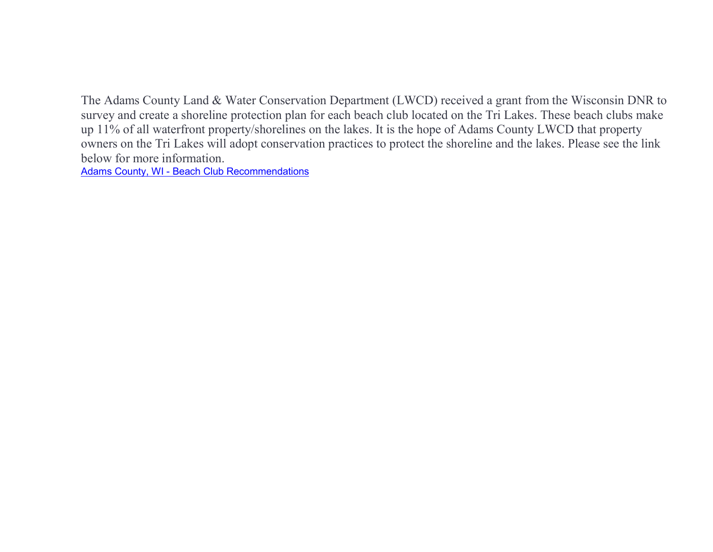The Adams County Land & Water Conservation Department (LWCD) received a grant from the Wisconsin DNR to survey and create a shoreline protection plan for each beach club located on the Tri Lakes. These beach clubs make up 11% of all waterfront property/shorelines on the lakes. It is the hope of Adams County LWCD that property owners on the Tri Lakes will adopt conservation practices to protect the shoreline and the lakes. Please see the link below for more information.

Adams County, WI - Beach Club Recommendations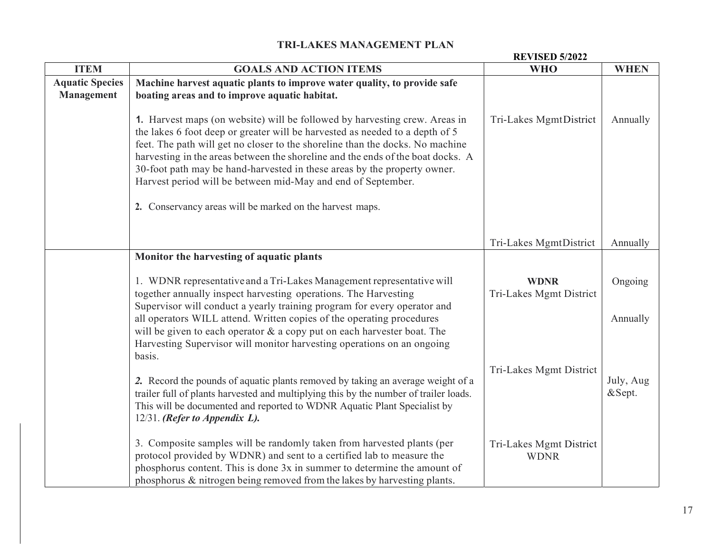|                                             | <b>REVISED 5/2022</b>                                                                                                                                                                                                                                                                                                                                                                                                                                                                                                                  |                                        |                     |  |
|---------------------------------------------|----------------------------------------------------------------------------------------------------------------------------------------------------------------------------------------------------------------------------------------------------------------------------------------------------------------------------------------------------------------------------------------------------------------------------------------------------------------------------------------------------------------------------------------|----------------------------------------|---------------------|--|
| <b>ITEM</b>                                 | <b>GOALS AND ACTION ITEMS</b>                                                                                                                                                                                                                                                                                                                                                                                                                                                                                                          | <b>WHO</b>                             | <b>WHEN</b>         |  |
| <b>Aquatic Species</b><br><b>Management</b> | Machine harvest aquatic plants to improve water quality, to provide safe<br>boating areas and to improve aquatic habitat.                                                                                                                                                                                                                                                                                                                                                                                                              |                                        |                     |  |
|                                             | 1. Harvest maps (on website) will be followed by harvesting crew. Areas in<br>the lakes 6 foot deep or greater will be harvested as needed to a depth of 5<br>feet. The path will get no closer to the shoreline than the docks. No machine<br>harvesting in the areas between the shoreline and the ends of the boat docks. A<br>30-foot path may be hand-harvested in these areas by the property owner.<br>Harvest period will be between mid-May and end of September.<br>2. Conservancy areas will be marked on the harvest maps. | Tri-Lakes MgmtDistrict                 | Annually            |  |
|                                             |                                                                                                                                                                                                                                                                                                                                                                                                                                                                                                                                        | Tri-Lakes MgmtDistrict                 | Annually            |  |
|                                             | Monitor the harvesting of aquatic plants                                                                                                                                                                                                                                                                                                                                                                                                                                                                                               |                                        |                     |  |
|                                             | 1. WDNR representative and a Tri-Lakes Management representative will<br>together annually inspect harvesting operations. The Harvesting<br>Supervisor will conduct a yearly training program for every operator and                                                                                                                                                                                                                                                                                                                   | <b>WDNR</b><br>Tri-Lakes Mgmt District | Ongoing             |  |
|                                             | all operators WILL attend. Written copies of the operating procedures<br>will be given to each operator $&$ a copy put on each harvester boat. The<br>Harvesting Supervisor will monitor harvesting operations on an ongoing<br>basis.                                                                                                                                                                                                                                                                                                 |                                        | Annually            |  |
|                                             | 2. Record the pounds of aquatic plants removed by taking an average weight of a<br>trailer full of plants harvested and multiplying this by the number of trailer loads.<br>This will be documented and reported to WDNR Aquatic Plant Specialist by<br>$12/31$ . (Refer to Appendix L).                                                                                                                                                                                                                                               | Tri-Lakes Mgmt District                | July, Aug<br>&Sept. |  |
|                                             | 3. Composite samples will be randomly taken from harvested plants (per<br>protocol provided by WDNR) and sent to a certified lab to measure the<br>phosphorus content. This is done 3x in summer to determine the amount of<br>phosphorus & nitrogen being removed from the lakes by harvesting plants.                                                                                                                                                                                                                                | Tri-Lakes Mgmt District<br><b>WDNR</b> |                     |  |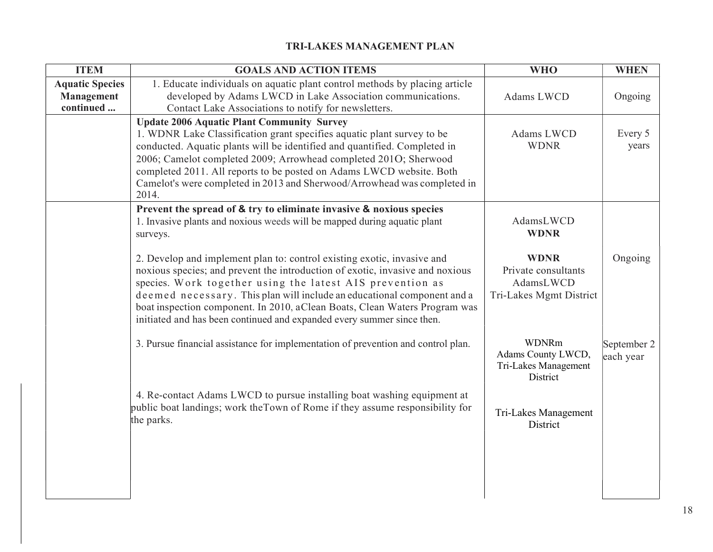| <b>ITEM</b>                                              | <b>GOALS AND ACTION ITEMS</b>                                                                                                                                                                                                                                                                                                                                                                                                                            | <b>WHO</b>                                                                 | <b>WHEN</b>              |
|----------------------------------------------------------|----------------------------------------------------------------------------------------------------------------------------------------------------------------------------------------------------------------------------------------------------------------------------------------------------------------------------------------------------------------------------------------------------------------------------------------------------------|----------------------------------------------------------------------------|--------------------------|
| <b>Aquatic Species</b><br><b>Management</b><br>continued | 1. Educate individuals on aquatic plant control methods by placing article<br>developed by Adams LWCD in Lake Association communications.<br>Contact Lake Associations to notify for newsletters.                                                                                                                                                                                                                                                        | Adams LWCD                                                                 | Ongoing                  |
|                                                          | <b>Update 2006 Aquatic Plant Community Survey</b><br>1. WDNR Lake Classification grant specifies aquatic plant survey to be<br>conducted. Aquatic plants will be identified and quantified. Completed in<br>2006; Camelot completed 2009; Arrowhead completed 201O; Sherwood<br>completed 2011. All reports to be posted on Adams LWCD website. Both<br>Camelot's were completed in 2013 and Sherwood/Arrowhead was completed in<br>2014.                | Adams LWCD<br><b>WDNR</b>                                                  | Every 5<br>years         |
|                                                          | Prevent the spread of & try to eliminate invasive & noxious species<br>1. Invasive plants and noxious weeds will be mapped during aquatic plant<br>surveys.                                                                                                                                                                                                                                                                                              | AdamsLWCD<br><b>WDNR</b>                                                   |                          |
|                                                          | 2. Develop and implement plan to: control existing exotic, invasive and<br>noxious species; and prevent the introduction of exotic, invasive and noxious<br>species. Work together using the latest AIS prevention as<br>deemed necessary. This plan will include an educational component and a<br>boat inspection component. In 2010, aClean Boats, Clean Waters Program was<br>initiated and has been continued and expanded every summer since then. | <b>WDNR</b><br>Private consultants<br>AdamsLWCD<br>Tri-Lakes Mgmt District | Ongoing                  |
|                                                          | 3. Pursue financial assistance for implementation of prevention and control plan.                                                                                                                                                                                                                                                                                                                                                                        | WDNRm<br>Adams County LWCD,<br>Tri-Lakes Management<br>District            | September 2<br>each year |
|                                                          | 4. Re-contact Adams LWCD to pursue installing boat washing equipment at<br>public boat landings; work the Town of Rome if they assume responsibility for<br>the parks.                                                                                                                                                                                                                                                                                   | Tri-Lakes Management<br>District                                           |                          |
|                                                          |                                                                                                                                                                                                                                                                                                                                                                                                                                                          |                                                                            |                          |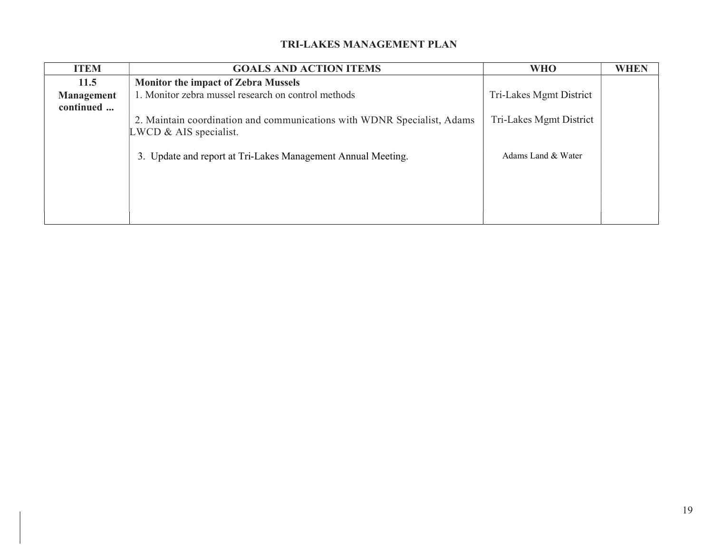| <b>ITEM</b>                    | <b>GOALS AND ACTION ITEMS</b>                                                                        | <b>WHO</b>              | <b>WHEN</b> |
|--------------------------------|------------------------------------------------------------------------------------------------------|-------------------------|-------------|
| 11.5                           | <b>Monitor the impact of Zebra Mussels</b>                                                           |                         |             |
| <b>Management</b><br>continued | 1. Monitor zebra mussel research on control methods                                                  | Tri-Lakes Mgmt District |             |
|                                | 2. Maintain coordination and communications with WDNR Specialist, Adams<br>$LWCD \& AIS specialist.$ | Tri-Lakes Mgmt District |             |
|                                | 3. Update and report at Tri-Lakes Management Annual Meeting.                                         | Adams Land & Water      |             |
|                                |                                                                                                      |                         |             |
|                                |                                                                                                      |                         |             |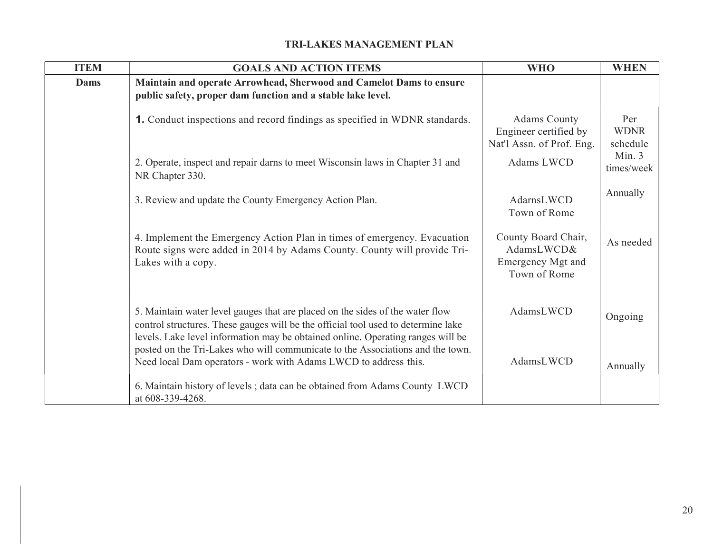| <b>ITEM</b> | <b>GOALS AND ACTION ITEMS</b>                                                                                                                                                                                                                         | <b>WHO</b>                                                                | <b>WHEN</b>                    |
|-------------|-------------------------------------------------------------------------------------------------------------------------------------------------------------------------------------------------------------------------------------------------------|---------------------------------------------------------------------------|--------------------------------|
| Dams        | Maintain and operate Arrowhead, Sherwood and Camelot Dams to ensure<br>public safety, proper dam function and a stable lake level.                                                                                                                    |                                                                           |                                |
|             | 1. Conduct inspections and record findings as specified in WDNR standards.                                                                                                                                                                            | <b>Adams County</b><br>Engineer certified by<br>Nat'l Assn. of Prof. Eng. | Per<br><b>WDNR</b><br>schedule |
|             | 2. Operate, inspect and repair darns to meet Wisconsin laws in Chapter 31 and<br>NR Chapter 330.                                                                                                                                                      | Adams LWCD                                                                | Min. 3<br>times/week           |
|             | 3. Review and update the County Emergency Action Plan.                                                                                                                                                                                                | AdarnsLWCD<br>Town of Rome                                                | Annually                       |
|             | 4. Implement the Emergency Action Plan in times of emergency. Evacuation<br>Route signs were added in 2014 by Adams County. County will provide Tri-<br>Lakes with a copy.                                                                            | County Board Chair,<br>AdamsLWCD&<br>Emergency Mgt and<br>Town of Rome    | As needed                      |
|             | 5. Maintain water level gauges that are placed on the sides of the water flow<br>control structures. These gauges will be the official tool used to determine lake<br>levels. Lake level information may be obtained online. Operating ranges will be | AdamsLWCD                                                                 | Ongoing                        |
|             | posted on the Tri-Lakes who will communicate to the Associations and the town.<br>Need local Dam operators - work with Adams LWCD to address this.                                                                                                    | AdamsLWCD                                                                 | Annually                       |
|             | 6. Maintain history of levels; data can be obtained from Adams County LWCD<br>at 608-339-4268.                                                                                                                                                        |                                                                           |                                |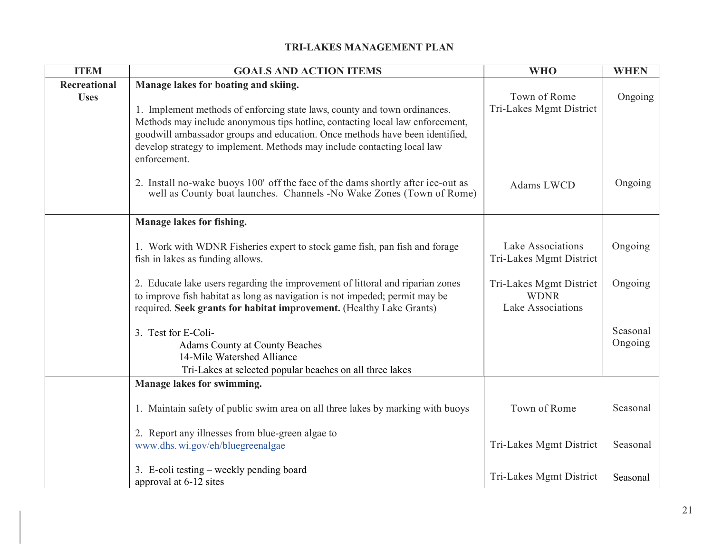| <b>ITEM</b>                 | <b>GOALS AND ACTION ITEMS</b>                                                                                                                                                                                                                                                                                                                                                 | <b>WHO</b>                                                  | <b>WHEN</b>         |
|-----------------------------|-------------------------------------------------------------------------------------------------------------------------------------------------------------------------------------------------------------------------------------------------------------------------------------------------------------------------------------------------------------------------------|-------------------------------------------------------------|---------------------|
| Recreational<br><b>Uses</b> | Manage lakes for boating and skiing.<br>1. Implement methods of enforcing state laws, county and town ordinances.<br>Methods may include anonymous tips hotline, contacting local law enforcement,<br>goodwill ambassador groups and education. Once methods have been identified,<br>develop strategy to implement. Methods may include contacting local law<br>enforcement. | Town of Rome<br>Tri-Lakes Mgmt District                     | Ongoing             |
|                             | 2. Install no-wake buoys 100' off the face of the dams shortly after ice-out as<br>well as County boat launches. Channels -No Wake Zones (Town of Rome)                                                                                                                                                                                                                       | Adams LWCD                                                  | Ongoing             |
|                             | Manage lakes for fishing.                                                                                                                                                                                                                                                                                                                                                     |                                                             |                     |
|                             | 1. Work with WDNR Fisheries expert to stock game fish, pan fish and forage<br>fish in lakes as funding allows.                                                                                                                                                                                                                                                                | Lake Associations<br>Tri-Lakes Mgmt District                | Ongoing             |
|                             | 2. Educate lake users regarding the improvement of littoral and riparian zones<br>to improve fish habitat as long as navigation is not impeded; permit may be<br>required. Seek grants for habitat improvement. (Healthy Lake Grants)                                                                                                                                         | Tri-Lakes Mgmt District<br><b>WDNR</b><br>Lake Associations | Ongoing             |
|                             | 3. Test for E-Coli-<br>Adams County at County Beaches<br>14-Mile Watershed Alliance<br>Tri-Lakes at selected popular beaches on all three lakes                                                                                                                                                                                                                               |                                                             | Seasonal<br>Ongoing |
|                             | Manage lakes for swimming.                                                                                                                                                                                                                                                                                                                                                    |                                                             |                     |
|                             | 1. Maintain safety of public swim area on all three lakes by marking with buoys                                                                                                                                                                                                                                                                                               | Town of Rome                                                | Seasonal            |
|                             | 2. Report any illnesses from blue-green algae to<br>www.dhs.wi.gov/eh/bluegreenalgae                                                                                                                                                                                                                                                                                          | Tri-Lakes Mgmt District                                     | Seasonal            |
|                             | 3. E-coli testing – weekly pending board<br>approval at 6-12 sites                                                                                                                                                                                                                                                                                                            | Tri-Lakes Mgmt District                                     | Seasonal            |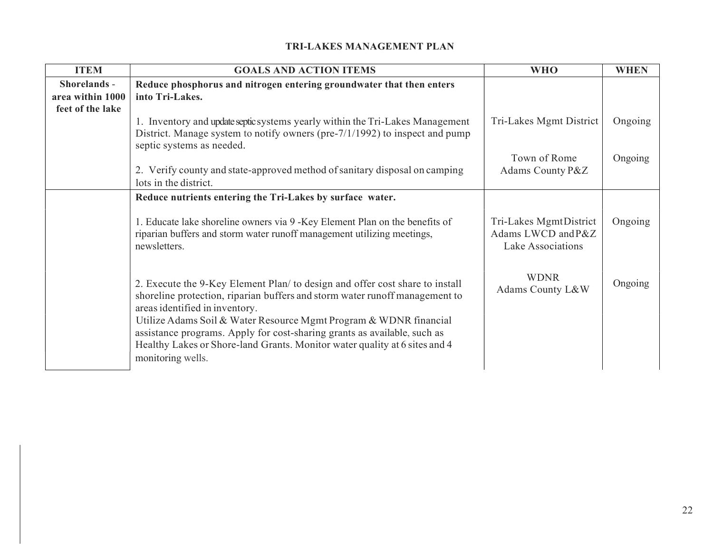| <b>ITEM</b>      | <b>GOALS AND ACTION ITEMS</b>                                                                                                                                                                                                                                                                                                                                                                                                                     | <b>WHO</b>                                                        | <b>WHEN</b> |
|------------------|---------------------------------------------------------------------------------------------------------------------------------------------------------------------------------------------------------------------------------------------------------------------------------------------------------------------------------------------------------------------------------------------------------------------------------------------------|-------------------------------------------------------------------|-------------|
| Shorelands -     | Reduce phosphorus and nitrogen entering groundwater that then enters                                                                                                                                                                                                                                                                                                                                                                              |                                                                   |             |
| area within 1000 | into Tri-Lakes.                                                                                                                                                                                                                                                                                                                                                                                                                                   |                                                                   |             |
| feet of the lake |                                                                                                                                                                                                                                                                                                                                                                                                                                                   |                                                                   |             |
|                  | 1. Inventory and update septic systems yearly within the Tri-Lakes Management                                                                                                                                                                                                                                                                                                                                                                     | Tri-Lakes Mgmt District                                           | Ongoing     |
|                  | District. Manage system to notify owners (pre-7/1/1992) to inspect and pump<br>septic systems as needed.                                                                                                                                                                                                                                                                                                                                          |                                                                   |             |
|                  |                                                                                                                                                                                                                                                                                                                                                                                                                                                   | Town of Rome                                                      | Ongoing     |
|                  | 2. Verify county and state-approved method of sanitary disposal on camping<br>lots in the district.                                                                                                                                                                                                                                                                                                                                               | Adams County P&Z                                                  |             |
|                  | Reduce nutrients entering the Tri-Lakes by surface water.                                                                                                                                                                                                                                                                                                                                                                                         |                                                                   |             |
|                  | 1. Educate lake shoreline owners via 9 - Key Element Plan on the benefits of<br>riparian buffers and storm water runoff management utilizing meetings,<br>newsletters.                                                                                                                                                                                                                                                                            | Tri-Lakes MgmtDistrict<br>Adams LWCD and P&Z<br>Lake Associations | Ongoing     |
|                  | 2. Execute the 9-Key Element Plan/ to design and offer cost share to install<br>shoreline protection, riparian buffers and storm water runoff management to<br>areas identified in inventory.<br>Utilize Adams Soil & Water Resource Mgmt Program & WDNR financial<br>assistance programs. Apply for cost-sharing grants as available, such as<br>Healthy Lakes or Shore-land Grants. Monitor water quality at 6 sites and 4<br>monitoring wells. | <b>WDNR</b><br>Adams County L&W                                   | Ongoing     |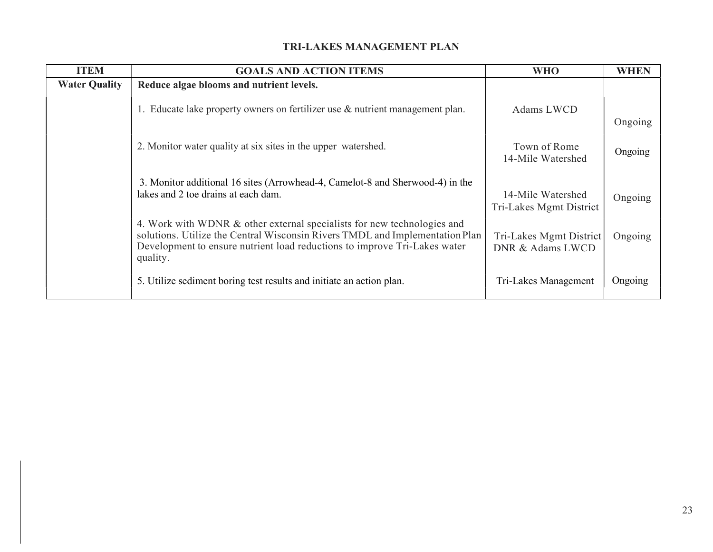| <b>ITEM</b>          | <b>GOALS AND ACTION ITEMS</b>                                                                                                                                                                                                                    | <b>WHO</b>                                   | <b>WHEN</b> |  |
|----------------------|--------------------------------------------------------------------------------------------------------------------------------------------------------------------------------------------------------------------------------------------------|----------------------------------------------|-------------|--|
| <b>Water Quality</b> | Reduce algae blooms and nutrient levels.                                                                                                                                                                                                         |                                              |             |  |
|                      | $\mathsf{I}$ . Educate lake property owners on fertilizer use & nutrient management plan.                                                                                                                                                        | Adams LWCD                                   | Ongoing     |  |
|                      | 2. Monitor water quality at six sites in the upper watershed.                                                                                                                                                                                    | Town of Rome<br>14-Mile Watershed            | Ongoing     |  |
|                      | 3. Monitor additional 16 sites (Arrowhead-4, Camelot-8 and Sherwood-4) in the<br>lakes and 2 toe drains at each dam.                                                                                                                             | 14-Mile Watershed<br>Tri-Lakes Mgmt District | Ongoing     |  |
|                      | 4. Work with WDNR & other external specialists for new technologies and<br>solutions. Utilize the Central Wisconsin Rivers TMDL and Implementation Plan<br>Development to ensure nutrient load reductions to improve Tri-Lakes water<br>quality. | Tri-Lakes Mgmt District<br>DNR & Adams LWCD  | Ongoing     |  |
|                      | 5. Utilize sediment boring test results and initiate an action plan.                                                                                                                                                                             | Tri-Lakes Management                         | Ongoing     |  |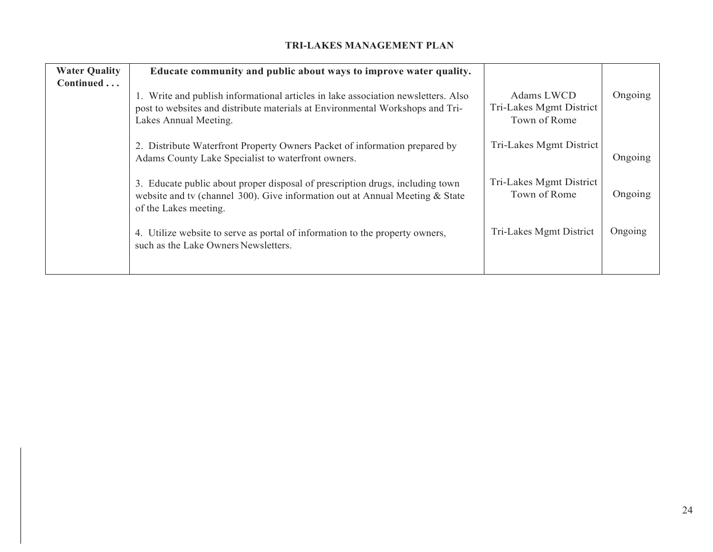| <b>Water Quality</b><br>Continued | Educate community and public about ways to improve water quality.                                                                                                                           |                                                       |         |
|-----------------------------------|---------------------------------------------------------------------------------------------------------------------------------------------------------------------------------------------|-------------------------------------------------------|---------|
|                                   | 1. Write and publish informational articles in lake association newsletters. Also<br>post to websites and distribute materials at Environmental Workshops and Tri-<br>Lakes Annual Meeting. | Adams LWCD<br>Tri-Lakes Mgmt District<br>Town of Rome | Ongoing |
|                                   | 2. Distribute Waterfront Property Owners Packet of information prepared by<br>Adams County Lake Specialist to waterfront owners.                                                            | Tri-Lakes Mgmt District                               | Ongoing |
|                                   | 3. Educate public about proper disposal of prescription drugs, including town<br>website and tv (channel 300). Give information out at Annual Meeting & State<br>of the Lakes meeting.      | Tri-Lakes Mgmt District<br>Town of Rome               | Ongoing |
|                                   | 4. Utilize website to serve as portal of information to the property owners,<br>such as the Lake Owners Newsletters.                                                                        | Tri-Lakes Mgmt District                               | Ongoing |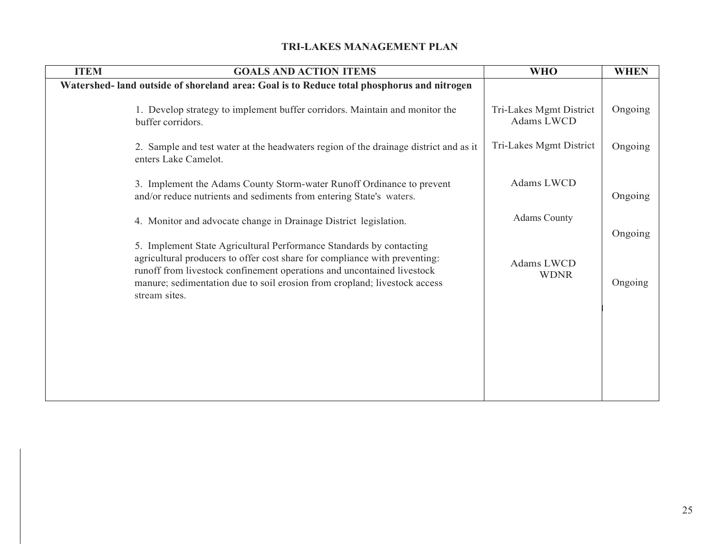| <b>ITEM</b> | <b>GOALS AND ACTION ITEMS</b>                                                                                                                                                                                                                                                                                             | <b>WHO</b>                            | <b>WHEN</b>        |  |
|-------------|---------------------------------------------------------------------------------------------------------------------------------------------------------------------------------------------------------------------------------------------------------------------------------------------------------------------------|---------------------------------------|--------------------|--|
|             | Watershed- land outside of shoreland area: Goal is to Reduce total phosphorus and nitrogen                                                                                                                                                                                                                                |                                       |                    |  |
|             | 1. Develop strategy to implement buffer corridors. Maintain and monitor the<br>buffer corridors.                                                                                                                                                                                                                          | Tri-Lakes Mgmt District<br>Adams LWCD | Ongoing            |  |
|             | 2. Sample and test water at the headwaters region of the drainage district and as it<br>enters Lake Camelot.                                                                                                                                                                                                              | Tri-Lakes Mgmt District               | Ongoing            |  |
|             | 3. Implement the Adams County Storm-water Runoff Ordinance to prevent<br>and/or reduce nutrients and sediments from entering State's waters.                                                                                                                                                                              | Adams LWCD                            | Ongoing            |  |
|             | 4. Monitor and advocate change in Drainage District legislation.                                                                                                                                                                                                                                                          | <b>Adams County</b>                   |                    |  |
|             | 5. Implement State Agricultural Performance Standards by contacting<br>agricultural producers to offer cost share for compliance with preventing:<br>runoff from livestock confinement operations and uncontained livestock<br>manure; sedimentation due to soil erosion from cropland; livestock access<br>stream sites. | Adams LWCD<br><b>WDNR</b>             | Ongoing<br>Ongoing |  |
|             |                                                                                                                                                                                                                                                                                                                           |                                       |                    |  |
|             |                                                                                                                                                                                                                                                                                                                           |                                       |                    |  |
|             |                                                                                                                                                                                                                                                                                                                           |                                       |                    |  |
|             |                                                                                                                                                                                                                                                                                                                           |                                       |                    |  |